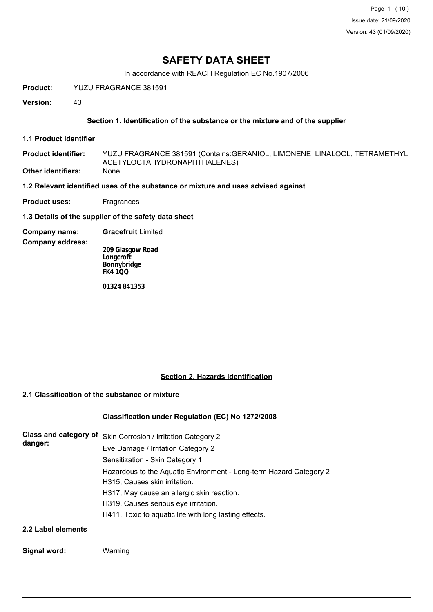Page 1 (10) Issue date: 21/09/2020 Version: 43 (01/09/2020)

## **SAFETY DATA SHEET**

In accordance with REACH Regulation EC No.1907/2006

**Product:** YUZU FRAGRANCE 381591

**Version:** 43

#### **Section 1. Identification of the substance or the mixture and of the supplier**

**1.1 Product Identifier**

YUZU FRAGRANCE 381591 (Contains:GERANIOL, LIMONENE, LINALOOL, TETRAMETHYL ACETYLOCTAHYDRONAPHTHALENES) **Product identifier: Other identifiers:** None

**1.2 Relevant identified uses of the substance or mixture and uses advised against**

**Product uses:** Fragrances

**1.3 Details of the supplier of the safety data sheet**

**Company name: Gracefruit** Limited

**Company address:**

**209 Glasgow Road Longcroft Bonnybridge FK4 1QQ**

**01324 841353**

#### **Section 2. Hazards identification**

### **2.1 Classification of the substance or mixture**

### **Classification under Regulation (EC) No 1272/2008**

| Class and category of<br>danger: | Skin Corrosion / Irritation Category 2                             |
|----------------------------------|--------------------------------------------------------------------|
|                                  | Eye Damage / Irritation Category 2                                 |
|                                  | Sensitization - Skin Category 1                                    |
|                                  | Hazardous to the Aquatic Environment - Long-term Hazard Category 2 |
|                                  | H315, Causes skin irritation.                                      |
|                                  | H317, May cause an allergic skin reaction.                         |
|                                  | H319, Causes serious eye irritation.                               |
|                                  | H411, Toxic to aquatic life with long lasting effects.             |
| 2.2 Label elements               |                                                                    |

### **Signal word:** Warning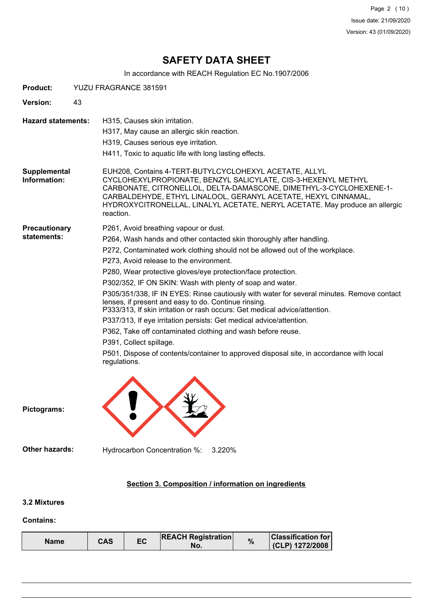Page 2 (10) Issue date: 21/09/2020 Version: 43 (01/09/2020)

# **SAFETY DATA SHEET**

In accordance with REACH Regulation EC No.1907/2006

| <b>Product:</b>                     | YUZU FRAGRANCE 381591                                                                                                                                                                                                                                                                                                                                                                                                                                                                                                                                                                                                                                                                                                                                                                                                                                                                |
|-------------------------------------|--------------------------------------------------------------------------------------------------------------------------------------------------------------------------------------------------------------------------------------------------------------------------------------------------------------------------------------------------------------------------------------------------------------------------------------------------------------------------------------------------------------------------------------------------------------------------------------------------------------------------------------------------------------------------------------------------------------------------------------------------------------------------------------------------------------------------------------------------------------------------------------|
| Version:                            | 43                                                                                                                                                                                                                                                                                                                                                                                                                                                                                                                                                                                                                                                                                                                                                                                                                                                                                   |
| <b>Hazard statements:</b>           | H315, Causes skin irritation.<br>H317, May cause an allergic skin reaction.<br>H319, Causes serious eye irritation.<br>H411, Toxic to aquatic life with long lasting effects.                                                                                                                                                                                                                                                                                                                                                                                                                                                                                                                                                                                                                                                                                                        |
| Supplemental<br>Information:        | EUH208, Contains 4-TERT-BUTYLCYCLOHEXYL ACETATE, ALLYL<br>CYCLOHEXYLPROPIONATE, BENZYL SALICYLATE, CIS-3-HEXENYL METHYL<br>CARBONATE, CITRONELLOL, DELTA-DAMASCONE, DIMETHYL-3-CYCLOHEXENE-1-<br>CARBALDEHYDE, ETHYL LINALOOL, GERANYL ACETATE, HEXYL CINNAMAL,<br>HYDROXYCITRONELLAL, LINALYL ACETATE, NERYL ACETATE. May produce an allergic<br>reaction.                                                                                                                                                                                                                                                                                                                                                                                                                                                                                                                          |
| <b>Precautionary</b><br>statements: | P261, Avoid breathing vapour or dust.<br>P264, Wash hands and other contacted skin thoroughly after handling.<br>P272, Contaminated work clothing should not be allowed out of the workplace.<br>P273, Avoid release to the environment.<br>P280, Wear protective gloves/eye protection/face protection.<br>P302/352, IF ON SKIN: Wash with plenty of soap and water.<br>P305/351/338, IF IN EYES: Rinse cautiously with water for several minutes. Remove contact<br>lenses, if present and easy to do. Continue rinsing.<br>P333/313, If skin irritation or rash occurs: Get medical advice/attention.<br>P337/313, If eye irritation persists: Get medical advice/attention.<br>P362, Take off contaminated clothing and wash before reuse.<br>P391, Collect spillage.<br>P501, Dispose of contents/container to approved disposal site, in accordance with local<br>regulations. |
| Pictograms:                         |                                                                                                                                                                                                                                                                                                                                                                                                                                                                                                                                                                                                                                                                                                                                                                                                                                                                                      |
| <b>Other hazards:</b>               | Hydrocarbon Concentration %:<br>3.220%                                                                                                                                                                                                                                                                                                                                                                                                                                                                                                                                                                                                                                                                                                                                                                                                                                               |
|                                     | Section 3. Composition / information on ingredients                                                                                                                                                                                                                                                                                                                                                                                                                                                                                                                                                                                                                                                                                                                                                                                                                                  |
| 3.2 Mixtures                        |                                                                                                                                                                                                                                                                                                                                                                                                                                                                                                                                                                                                                                                                                                                                                                                                                                                                                      |

#### **Contains:**

| CAS<br>Name | EC | <b>REACH Registration</b><br>NO. | % | <b>Classification for</b><br>(CLP) 1272/2008 |
|-------------|----|----------------------------------|---|----------------------------------------------|
|-------------|----|----------------------------------|---|----------------------------------------------|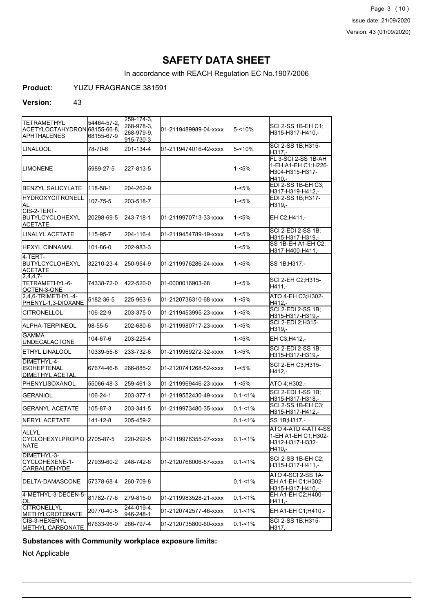Page 3 (10) Issue date: 21/09/2020 Version: 43 (01/09/2020)

# **SAFETY DATA SHEET**

In accordance with REACH Regulation EC No.1907/2006

**Product:** YUZU FRAGRANCE 381591

#### **Version:** 43

| <b>TETRAMETHYL</b><br>ACETYLOCTAHYDRON 68155-66-8,<br><b>APHTHALENES</b> | 54464-57-2,<br>68155-67-9 | 259-174-3,<br>268-978-3,<br>268-979-9. | 01-2119489989-04-xxxx | $5 - 10%$   | SCI 2-SS 1B-EH C1;<br>H315-H317-H410,-                                   |
|--------------------------------------------------------------------------|---------------------------|----------------------------------------|-----------------------|-------------|--------------------------------------------------------------------------|
| <b>LINALOOL</b>                                                          | 78-70-6                   | 915-730-3<br>201-134-4                 | 01-2119474016-42-xxxx | 5-<10%      | SCI 2-SS 1B;H315-<br>H317.-                                              |
| <b>I</b> LIMONENE                                                        | 5989-27-5                 | 227-813-5                              |                       | 1-<5%       | FL 3-SCI 2-SS 1B-AH<br>1-EH A1-EH C1;H226-<br>H304-H315-H317-<br>H410.-  |
| BENZYL SALICYLATE                                                        | 118-58-1                  | 204-262-9                              |                       | 1-<5%       | EDI 2-SS 1B-EH C3;<br>H317-H319-H412,-                                   |
| <b>HYDROXYCITRONELL</b><br>AL                                            | 107-75-5                  | 203-518-7                              |                       | 1-<5%       | EDI 2-SS 1B;H317-<br>H319,-                                              |
| CIS-2-TERT-<br>BUTYLCYCLOHEXYL<br><b>ACETATE</b>                         | 20298-69-5                | 243-718-1                              | 01-2119970713-33-xxxx | 1-<5%       | EH C2;H411,-                                                             |
| LINALYL ACETATE                                                          | 115-95-7                  | 204-116-4                              | 01-2119454789-19-xxxx | 1-<5%       | <b>SCI 2-EDI 2-SS 1B:</b><br>H315-H317-H319,-                            |
| IHEXYL CINNAMAL                                                          | 101-86-0                  | 202-983-3                              |                       | 1-<5%       | SS 1B-EH A1-EH C2;<br>H317-H400-H411,-                                   |
| 4-TERT-<br>BUTYLCYCLOHEXYL<br>ACETATE                                    | 32210-23-4                | 250-954-9                              | 01-2119976286-24-xxxx | 1-<5%       | SS 1B; H317,-                                                            |
| $2,4,4,7-$<br>TETRAMETHYL-6-<br>OCTEN-3-ONE                              | 74338-72-0                | 422-520-0                              | 01-0000016903-68      | 1-<5%       | SCI 2-EH C2:H315-<br>H411,-                                              |
| 2.4.6-TRIMETHYL-4-<br>PHENYL-1,3-DIOXANE                                 | 5182-36-5                 | 225-963-6                              | 01-2120736310-68-xxxx | 1-<5%       | ATO 4-EH C3, H302-<br>H412.-                                             |
| <b>CITRONELLOL</b>                                                       | 106-22-9                  | 203-375-0                              | 01-2119453995-23-xxxx | 1-<5%       | <b>SCI 2-EDI 2-SS 1B;</b><br>H315-H317-H319,-                            |
| ALPHA-TERPINEOL                                                          | 98-55-5                   | 202-680-6                              | 01-2119980717-23-xxxx | 1-<5%       | SCI 2-EDI 2;H315-<br>H319,-                                              |
| <b>GAMMA</b><br><b>UNDECALACTONE</b>                                     | 104-67-6                  | 203-225-4                              |                       | 1-<5%       | EH C3;H412,-                                                             |
| ETHYL LINALOOL                                                           | 10339-55-6                | 233-732-6                              | 01-2119969272-32-xxxx | 1-<5%       | SCI 2-EDI 2-SS 1B:<br>H315-H317-H319,-                                   |
| DIMETHYL-4-<br><b>ISOHEPTENAL</b><br><b>DIMETHYL ACETAL</b>              | 67674-46-8                | 266-885-2                              | 01-2120741268-52-xxxx | 1-<5%       | SCI 2-EH C3;H315-<br>H412,-                                              |
| <b>IPHENYLISOXANOL</b>                                                   | 55066-48-3                | 259-461-3                              | 01-2119969446-23-xxxx | 1-<5%       | ATO 4; H302,-                                                            |
| <b>GERANIOL</b>                                                          | 106-24-1                  | 203-377-1                              | 01-2119552430-49-xxxx | $0.1 - 1\%$ | <b>SCI 2-EDI 1-SS 1B:</b><br>H315-H317-H318.-                            |
| <b>GERANYL ACETATE</b>                                                   | 105-87-3                  | 203-341-5                              | 01-2119973480-35-xxxx | $0.1 - 1\%$ | SCI 2-SS 1B-EH C3;<br>H315-H317-H412,-                                   |
| NERYL ACETATE                                                            | 141-12-8                  | 205-459-2                              |                       | $0.1 - 1\%$ | SS 1B; H317,-                                                            |
| ALLYL<br>CYCLOHEXYLPROPIO 2705-87-5<br><b>NATE</b>                       |                           | 220-292-5                              | 01-2119976355-27-xxxx | $0.1 - 1\%$ | ATO 4-ATD 4-ATI 4-SS<br>1-EH A1-EH C1:H302-<br>H312-H317-H332-<br>H410,- |
| DIMETHYL-3-<br>CYCLOHEXENE-1-<br><b>CARBALDEHYDE</b>                     | 27939-60-2                | 248-742-6                              | 01-2120766006-57-xxxx | $0.1 - 1\%$ | SCI 2-SS 1B-EH C2:<br>H315-H317-H411,-                                   |
| <b>IDELTA-DAMASCONE</b>                                                  | 57378-68-4                | 260-709-8                              |                       | $0.1 - 1\%$ | <b>ATO 4-SCI 2-SS 1A-</b><br>EH A1-EH C1;H302-<br>H315-H317-H410.-       |
| 4-METHYL-3-DECEN-5-<br>ЮL                                                | 81782-77-6                | 279-815-0                              | 01-2119983528-21-xxxx | $0.1 - 1\%$ | EH A1-EH C2; H400-<br>$H411 -$                                           |
| <b>CITRONELLYL</b><br>METHYLCROTONATE                                    | 20770-40-5                | 244-019-4.<br>946-248-1                | 01-2120742577-46-xxxx | $0.1 - 1\%$ | EH A1-EH C1;H410,-                                                       |
| CIS-3-HEXENYL<br>METHYL CARBONATE                                        | 67633-96-9                | 266-797-4                              | 01-2120735800-60-xxxx | $0.1 - 1\%$ | SCI 2-SS 1B;H315-<br>H317.-                                              |

### **Substances with Community workplace exposure limits:**

Not Applicable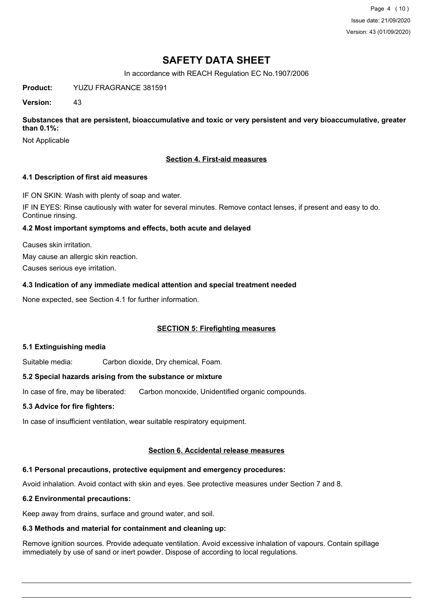Page 4 (10) Issue date: 21/09/2020 Version: 43 (01/09/2020)

## **SAFETY DATA SHEET**

In accordance with REACH Regulation EC No.1907/2006

**Product:** YUZU FRAGRANCE 381591

**Version:** 43

**Substances that are persistent, bioaccumulative and toxic or very persistent and very bioaccumulative, greater than 0.1%:**

Not Applicable

#### **Section 4. First-aid measures**

#### **4.1 Description of first aid measures**

IF ON SKIN: Wash with plenty of soap and water.

IF IN EYES: Rinse cautiously with water for several minutes. Remove contact lenses, if present and easy to do. Continue rinsing.

#### **4.2 Most important symptoms and effects, both acute and delayed**

Causes skin irritation.

May cause an allergic skin reaction.

Causes serious eye irritation.

#### **4.3 Indication of any immediate medical attention and special treatment needed**

None expected, see Section 4.1 for further information.

### **SECTION 5: Firefighting measures**

#### **5.1 Extinguishing media**

Suitable media: Carbon dioxide, Dry chemical, Foam.

#### **5.2 Special hazards arising from the substance or mixture**

In case of fire, may be liberated: Carbon monoxide, Unidentified organic compounds.

#### **5.3 Advice for fire fighters:**

In case of insufficient ventilation, wear suitable respiratory equipment.

#### **Section 6. Accidental release measures**

### **6.1 Personal precautions, protective equipment and emergency procedures:**

Avoid inhalation. Avoid contact with skin and eyes. See protective measures under Section 7 and 8.

### **6.2 Environmental precautions:**

Keep away from drains, surface and ground water, and soil.

### **6.3 Methods and material for containment and cleaning up:**

Remove ignition sources. Provide adequate ventilation. Avoid excessive inhalation of vapours. Contain spillage immediately by use of sand or inert powder. Dispose of according to local regulations.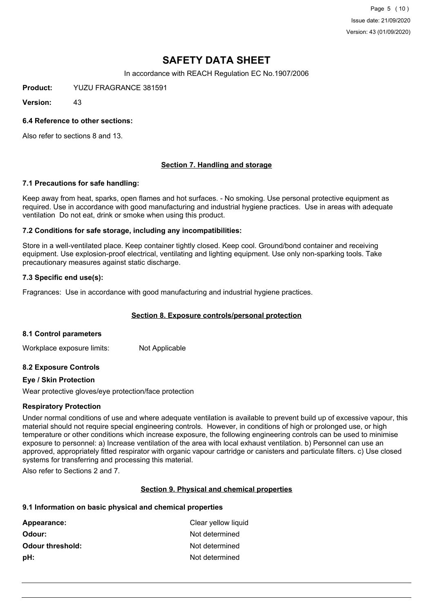Page 5 (10) Issue date: 21/09/2020 Version: 43 (01/09/2020)

# **SAFETY DATA SHEET**

In accordance with REACH Regulation EC No.1907/2006

**Product:** YUZU FRAGRANCE 381591

**Version:** 43

#### **6.4 Reference to other sections:**

Also refer to sections 8 and 13.

### **Section 7. Handling and storage**

#### **7.1 Precautions for safe handling:**

Keep away from heat, sparks, open flames and hot surfaces. - No smoking. Use personal protective equipment as required. Use in accordance with good manufacturing and industrial hygiene practices. Use in areas with adequate ventilation Do not eat, drink or smoke when using this product.

#### **7.2 Conditions for safe storage, including any incompatibilities:**

Store in a well-ventilated place. Keep container tightly closed. Keep cool. Ground/bond container and receiving equipment. Use explosion-proof electrical, ventilating and lighting equipment. Use only non-sparking tools. Take precautionary measures against static discharge.

#### **7.3 Specific end use(s):**

Fragrances: Use in accordance with good manufacturing and industrial hygiene practices.

#### **Section 8. Exposure controls/personal protection**

#### **8.1 Control parameters**

Workplace exposure limits: Not Applicable

#### **8.2 Exposure Controls**

#### **Eye / Skin Protection**

Wear protective gloves/eye protection/face protection

#### **Respiratory Protection**

Under normal conditions of use and where adequate ventilation is available to prevent build up of excessive vapour, this material should not require special engineering controls. However, in conditions of high or prolonged use, or high temperature or other conditions which increase exposure, the following engineering controls can be used to minimise exposure to personnel: a) Increase ventilation of the area with local exhaust ventilation. b) Personnel can use an approved, appropriately fitted respirator with organic vapour cartridge or canisters and particulate filters. c) Use closed systems for transferring and processing this material.

Also refer to Sections 2 and 7.

#### **Section 9. Physical and chemical properties**

#### **9.1 Information on basic physical and chemical properties**

| Clear yellow liquid |
|---------------------|
| Not determined      |
| Not determined      |
| Not determined      |
|                     |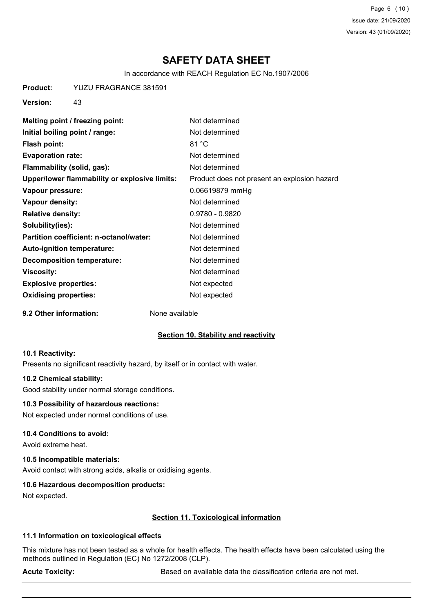Page 6 (10) Issue date: 21/09/2020 Version: 43 (01/09/2020)

# **SAFETY DATA SHEET**

In accordance with REACH Regulation EC No.1907/2006

**Product:** YUZU FRAGRANCE 381591

**Version:** 43

| Melting point / freezing point:               | Not determined                               |
|-----------------------------------------------|----------------------------------------------|
| Initial boiling point / range:                | Not determined                               |
| <b>Flash point:</b>                           | 81 °C                                        |
| <b>Evaporation rate:</b>                      | Not determined                               |
| Flammability (solid, gas):                    | Not determined                               |
| Upper/lower flammability or explosive limits: | Product does not present an explosion hazard |
| Vapour pressure:                              | 0.06619879 mmHg                              |
| Vapour density:                               | Not determined                               |
| <b>Relative density:</b>                      | $0.9780 - 0.9820$                            |
| Solubility(ies):                              | Not determined                               |
| Partition coefficient: n-octanol/water:       | Not determined                               |
| Auto-ignition temperature:                    | Not determined                               |
| Decomposition temperature:                    | Not determined                               |
| <b>Viscosity:</b>                             | Not determined                               |
| <b>Explosive properties:</b>                  | Not expected                                 |
| <b>Oxidising properties:</b>                  | Not expected                                 |
|                                               |                                              |

**9.2 Other information:** None available

#### **Section 10. Stability and reactivity**

#### **10.1 Reactivity:**

Presents no significant reactivity hazard, by itself or in contact with water.

#### **10.2 Chemical stability:**

Good stability under normal storage conditions.

#### **10.3 Possibility of hazardous reactions:**

Not expected under normal conditions of use.

#### **10.4 Conditions to avoid:**

Avoid extreme heat.

#### **10.5 Incompatible materials:**

Avoid contact with strong acids, alkalis or oxidising agents.

#### **10.6 Hazardous decomposition products:**

Not expected.

#### **Section 11. Toxicological information**

#### **11.1 Information on toxicological effects**

This mixture has not been tested as a whole for health effects. The health effects have been calculated using the methods outlined in Regulation (EC) No 1272/2008 (CLP).

Acute Toxicity: **Acute Toxicity:** Based on available data the classification criteria are not met.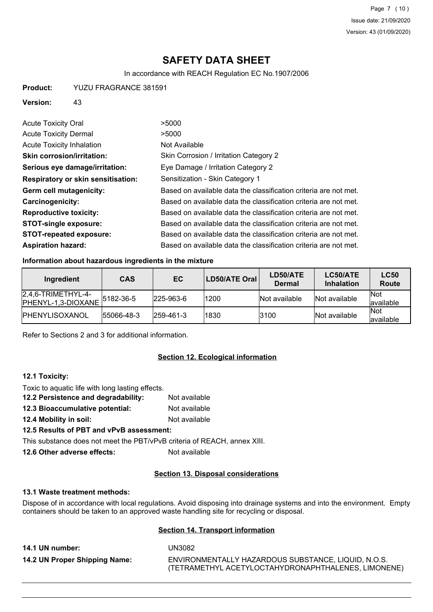# **SAFETY DATA SHEET**

In accordance with REACH Regulation EC No.1907/2006

**Product:** YUZU FRAGRANCE 381591

#### **Version:** 43

| <b>Acute Toxicity Oral</b>                | >5000                                                            |
|-------------------------------------------|------------------------------------------------------------------|
| <b>Acute Toxicity Dermal</b>              | >5000                                                            |
| Acute Toxicity Inhalation                 | Not Available                                                    |
| <b>Skin corrosion/irritation:</b>         | Skin Corrosion / Irritation Category 2                           |
| Serious eye damage/irritation:            | Eye Damage / Irritation Category 2                               |
| <b>Respiratory or skin sensitisation:</b> | Sensitization - Skin Category 1                                  |
| Germ cell mutagenicity:                   | Based on available data the classification criteria are not met. |
| <b>Carcinogenicity:</b>                   | Based on available data the classification criteria are not met. |
| <b>Reproductive toxicity:</b>             | Based on available data the classification criteria are not met. |
| <b>STOT-single exposure:</b>              | Based on available data the classification criteria are not met. |
| <b>STOT-repeated exposure:</b>            | Based on available data the classification criteria are not met. |
| <b>Aspiration hazard:</b>                 | Based on available data the classification criteria are not met. |

#### **Information about hazardous ingredients in the mixture**

| Ingredient                                  | <b>CAS</b>    | EC.               | <b>LD50/ATE Oral</b> | LD50/ATE<br><b>Dermal</b> | LC50/ATE<br><b>Inhalation</b> | <b>LC50</b><br>Route     |
|---------------------------------------------|---------------|-------------------|----------------------|---------------------------|-------------------------------|--------------------------|
| $[2,4,6-TRIMETHYL-4-$<br>PHENYL-1,3-DIOXANE | $ 5182-36-5 $ | $ 225 - 963 - 6 $ | 1200                 | Not available             | Not available                 | <b>Not</b><br>lavailable |
| <b>IPHENYLISOXANOL</b>                      | 55066-48-3    | 1259-461-3        | 1830                 | 3100                      | Not available                 | <b>Not</b><br>lavailable |

Refer to Sections 2 and 3 for additional information.

#### **Section 12. Ecological information**

#### **12.1 Toxicity:**

Toxic to aquatic life with long lasting effects.

- **12.2 Persistence and degradability:** Not available
- **12.3 Bioaccumulative potential:** Not available
- **12.4 Mobility in soil:** Not available
- **12.5 Results of PBT and vPvB assessment:**

This substance does not meet the PBT/vPvB criteria of REACH, annex XIII.

**12.6 Other adverse effects:** Not available

### **Section 13. Disposal considerations**

### **13.1 Waste treatment methods:**

Dispose of in accordance with local regulations. Avoid disposing into drainage systems and into the environment. Empty containers should be taken to an approved waste handling site for recycling or disposal.

### **Section 14. Transport information**

| 14.1 UN number:               | UN3082                                              |
|-------------------------------|-----------------------------------------------------|
| 14.2 UN Proper Shipping Name: | ENVIRONMENTALLY HAZARDOUS SUBSTANCE. LIQUID. N.O.S. |
|                               | (TETRAMETHYL ACETYLOCTAHYDRONAPHTHALENES, LIMONENE) |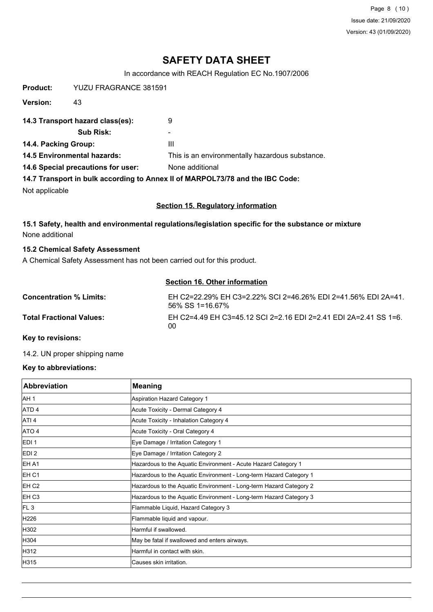Page 8 (10) Issue date: 21/09/2020 Version: 43 (01/09/2020)

# **SAFETY DATA SHEET**

In accordance with REACH Regulation EC No.1907/2006

| Product:                           | YUZU FRAGRANCE 381591            |                                                                               |
|------------------------------------|----------------------------------|-------------------------------------------------------------------------------|
| Version:                           | 43                               |                                                                               |
|                                    | 14.3 Transport hazard class(es): | 9                                                                             |
|                                    | Sub Risk:                        |                                                                               |
| 14.4. Packing Group:               |                                  | Ш                                                                             |
| <b>14.5 Environmental hazards:</b> |                                  | This is an environmentally hazardous substance.                               |
| 14.6 Special precautions for user: |                                  | None additional                                                               |
|                                    |                                  | 14.7 Transport in bulk according to Annex II of MARPOL73/78 and the IBC Code: |
| Not applicable                     |                                  |                                                                               |

#### **Section 15. Regulatory information**

**15.1 Safety, health and environmental regulations/legislation specific for the substance or mixture** None additional

#### **15.2 Chemical Safety Assessment**

A Chemical Safety Assessment has not been carried out for this product.

#### **Section 16. Other information**

| <b>Concentration % Limits:</b>  | EH C2=22.29% EH C3=2.22% SCI 2=46.26% EDI 2=41.56% EDI 2A=41.<br>56% SS 1=16.67% |
|---------------------------------|----------------------------------------------------------------------------------|
| <b>Total Fractional Values:</b> | EH C2=4.49 EH C3=45.12 SCI 2=2.16 EDI 2=2.41 EDI 2A=2.41 SS 1=6.<br>00           |

**Key to revisions:**

14.2. UN proper shipping name

#### **Key to abbreviations:**

| Abbreviation      | <b>Meaning</b>                                                     |
|-------------------|--------------------------------------------------------------------|
| AH <sub>1</sub>   | Aspiration Hazard Category 1                                       |
| ATD <sub>4</sub>  | Acute Toxicity - Dermal Category 4                                 |
| ATI <sub>4</sub>  | Acute Toxicity - Inhalation Category 4                             |
| ATO 4             | Acute Toxicity - Oral Category 4                                   |
| EDI <sub>1</sub>  | Eye Damage / Irritation Category 1                                 |
| EDI <sub>2</sub>  | Eye Damage / Irritation Category 2                                 |
| <b>IEH A1</b>     | Hazardous to the Aquatic Environment - Acute Hazard Category 1     |
| EH C1             | Hazardous to the Aquatic Environment - Long-term Hazard Category 1 |
| EH C <sub>2</sub> | Hazardous to the Aquatic Environment - Long-term Hazard Category 2 |
| EH C <sub>3</sub> | Hazardous to the Aquatic Environment - Long-term Hazard Category 3 |
| FL3               | Flammable Liquid, Hazard Category 3                                |
| H226              | Flammable liquid and vapour.                                       |
| H302              | Harmful if swallowed.                                              |
| H304              | May be fatal if swallowed and enters airways.                      |
| H312              | Harmful in contact with skin.                                      |
| H315              | lCauses skin irritation.                                           |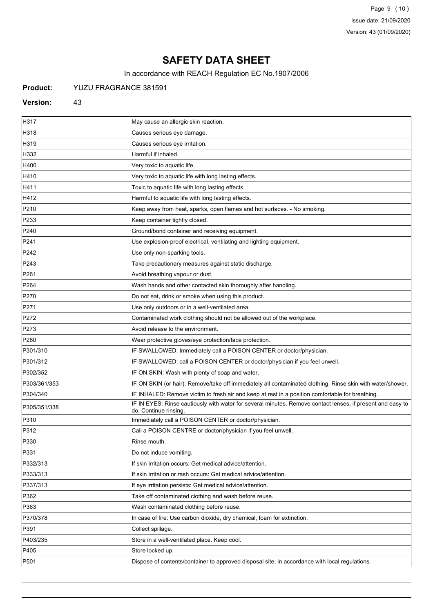Page 9 (10) Issue date: 21/09/2020 Version: 43 (01/09/2020)

# **SAFETY DATA SHEET**

In accordance with REACH Regulation EC No.1907/2006

### **Product:** YUZU FRAGRANCE 381591

#### **Version:** 43

| H317             | May cause an allergic skin reaction.                                                                                                |
|------------------|-------------------------------------------------------------------------------------------------------------------------------------|
| H318             | Causes serious eye damage.                                                                                                          |
| H319             | Causes serious eye irritation.                                                                                                      |
| H332             | Harmful if inhaled.                                                                                                                 |
| H400             | Very toxic to aquatic life.                                                                                                         |
| H410             | Very toxic to aquatic life with long lasting effects.                                                                               |
| H411             | Toxic to aquatic life with long lasting effects.                                                                                    |
| H412             | Harmful to aquatic life with long lasting effects.                                                                                  |
| P210             | Keep away from heat, sparks, open flames and hot surfaces. - No smoking.                                                            |
| P233             | Keep container tightly closed.                                                                                                      |
| P240             | Ground/bond container and receiving equipment.                                                                                      |
| P241             | Use explosion-proof electrical, ventilating and lighting equipment.                                                                 |
| P <sub>242</sub> | Use only non-sparking tools.                                                                                                        |
| P243             | Take precautionary measures against static discharge.                                                                               |
| P261             | Avoid breathing vapour or dust.                                                                                                     |
| P <sub>264</sub> | Wash hands and other contacted skin thoroughly after handling.                                                                      |
| P270             | Do not eat, drink or smoke when using this product.                                                                                 |
| P271             | Use only outdoors or in a well-ventilated area.                                                                                     |
| P272             | Contaminated work clothing should not be allowed out of the workplace.                                                              |
| P273             | Avoid release to the environment.                                                                                                   |
| P280             | Wear protective gloves/eye protection/face protection.                                                                              |
| P301/310         | IF SWALLOWED: Immediately call a POISON CENTER or doctor/physician.                                                                 |
| P301/312         | IF SWALLOWED: call a POISON CENTER or doctor/physician if you feel unwell.                                                          |
| P302/352         | IF ON SKIN: Wash with plenty of soap and water.                                                                                     |
| P303/361/353     | IF ON SKIN (or hair): Remove/take off immediately all contaminated clothing. Rinse skin with water/shower.                          |
| P304/340         | IF INHALED: Remove victim to fresh air and keep at rest in a position comfortable for breathing.                                    |
| P305/351/338     | IF IN EYES: Rinse cautiously with water for several minutes. Remove contact lenses, if present and easy to<br>do. Continue rinsing. |
| P310             | Immediately call a POISON CENTER or doctor/physician.                                                                               |
| P312             | Call a POISON CENTRE or doctor/physician if you feel unwell.                                                                        |
| P330             | Rinse mouth.                                                                                                                        |
| P331             | Do not induce vomiting.                                                                                                             |
| P332/313         | If skin irritation occurs: Get medical advice/attention.                                                                            |
| P333/313         | If skin irritation or rash occurs: Get medical advice/attention.                                                                    |
| P337/313         | If eye irritation persists: Get medical advice/attention.                                                                           |
| P362             | Take off contaminated clothing and wash before reuse.                                                                               |
| P363             | Wash contaminated clothing before reuse.                                                                                            |
| P370/378         | In case of fire: Use carbon dioxide, dry chemical, foam for extinction.                                                             |
| P391             | Collect spillage.                                                                                                                   |
| P403/235         | Store in a well-ventilated place. Keep cool.                                                                                        |
| P405             | Store locked up.                                                                                                                    |
| P501             | Dispose of contents/container to approved disposal site, in accordance with local regulations.                                      |